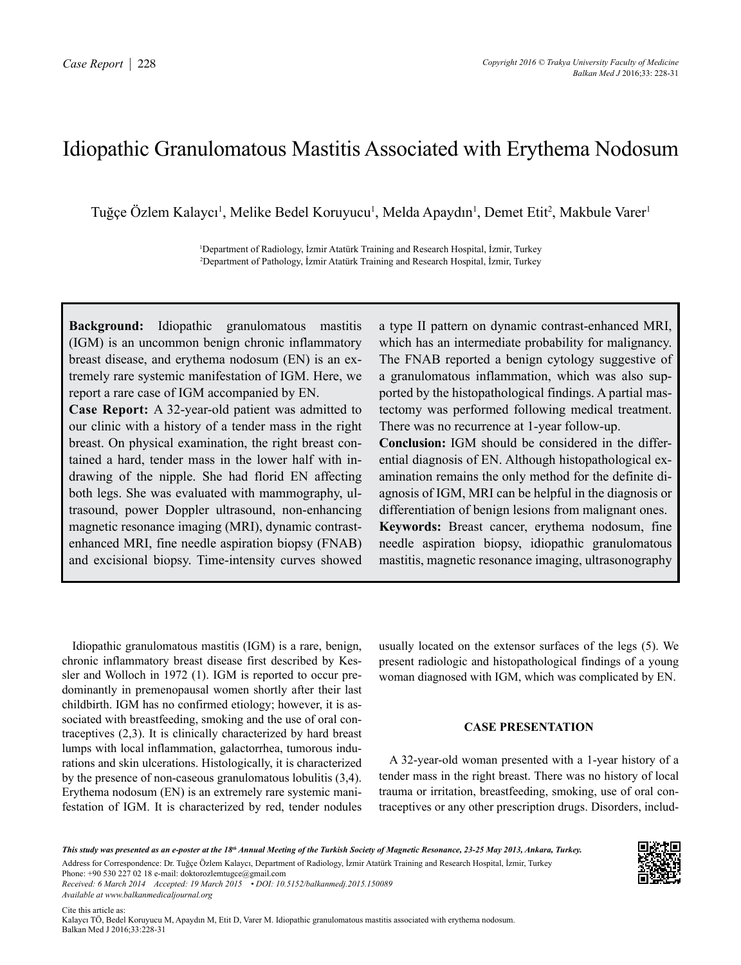## Idiopathic Granulomatous Mastitis Associated with Erythema Nodosum

Tuğçe Özlem Kalaycı<sup>1</sup>, Melike Bedel Koruyucu<sup>1</sup>, Melda Apaydın<sup>1</sup>, Demet Etit<sup>2</sup>, Makbule Varer<sup>ı</sup>

1 Department of Radiology, İzmir Atatürk Training and Research Hospital, İzmir, Turkey 2 Department of Pathology, İzmir Atatürk Training and Research Hospital, İzmir, Turkey

**Background:** Idiopathic granulomatous mastitis (IGM) is an uncommon benign chronic inflammatory breast disease, and erythema nodosum (EN) is an extremely rare systemic manifestation of IGM. Here, we report a rare case of IGM accompanied by EN.

**Case Report:** A 32-year-old patient was admitted to our clinic with a history of a tender mass in the right breast. On physical examination, the right breast contained a hard, tender mass in the lower half with indrawing of the nipple. She had florid EN affecting both legs. She was evaluated with mammography, ultrasound, power Doppler ultrasound, non-enhancing magnetic resonance imaging (MRI), dynamic contrastenhanced MRI, fine needle aspiration biopsy (FNAB) and excisional biopsy. Time-intensity curves showed a type II pattern on dynamic contrast-enhanced MRI, which has an intermediate probability for malignancy. The FNAB reported a benign cytology suggestive of a granulomatous inflammation, which was also supported by the histopathological findings. A partial mastectomy was performed following medical treatment. There was no recurrence at 1-year follow-up. **Conclusion:** IGM should be considered in the differential diagnosis of EN. Although histopathological examination remains the only method for the definite diagnosis of IGM, MRI can be helpful in the diagnosis or differentiation of benign lesions from malignant ones. **Keywords:** Breast cancer, erythema nodosum, fine needle aspiration biopsy, idiopathic granulomatous mastitis, magnetic resonance imaging, ultrasonography

Idiopathic granulomatous mastitis (IGM) is a rare, benign, chronic inflammatory breast disease first described by Kessler and Wolloch in 1972 (1). IGM is reported to occur predominantly in premenopausal women shortly after their last childbirth. IGM has no confirmed etiology; however, it is associated with breastfeeding, smoking and the use of oral contraceptives (2,3). It is clinically characterized by hard breast lumps with local inflammation, galactorrhea, tumorous indurations and skin ulcerations. Histologically, it is characterized by the presence of non-caseous granulomatous lobulitis (3,4). Erythema nodosum (EN) is an extremely rare systemic manifestation of IGM. It is characterized by red, tender nodules

usually located on the extensor surfaces of the legs (5). We present radiologic and histopathological findings of a young woman diagnosed with IGM, which was complicated by EN.

## **CASE PRESENTATION**

A 32-year-old woman presented with a 1-year history of a tender mass in the right breast. There was no history of local trauma or irritation, breastfeeding, smoking, use of oral contraceptives or any other prescription drugs. Disorders, includ-

*This study was presented as an e-poster at the 18th Annual Meeting of the Turkish Society of Magnetic Resonance, 23-25 May 2013, Ankara, Turkey.* Address for Correspondence: Dr. Tuğçe Özlem Kalaycı, Department of Radiology, İzmir Atatürk Training and Research Hospital, İzmir, Turkey Phone: +90 530 227 02 18 e-mail: doktorozlemtugce@gmail.com

*Received: 6 March 2014 Accepted: 19 March 2015 • DOI: 10.5152/balkanmedj.2015.150089 Available at www.balkanmedicaljournal.org*

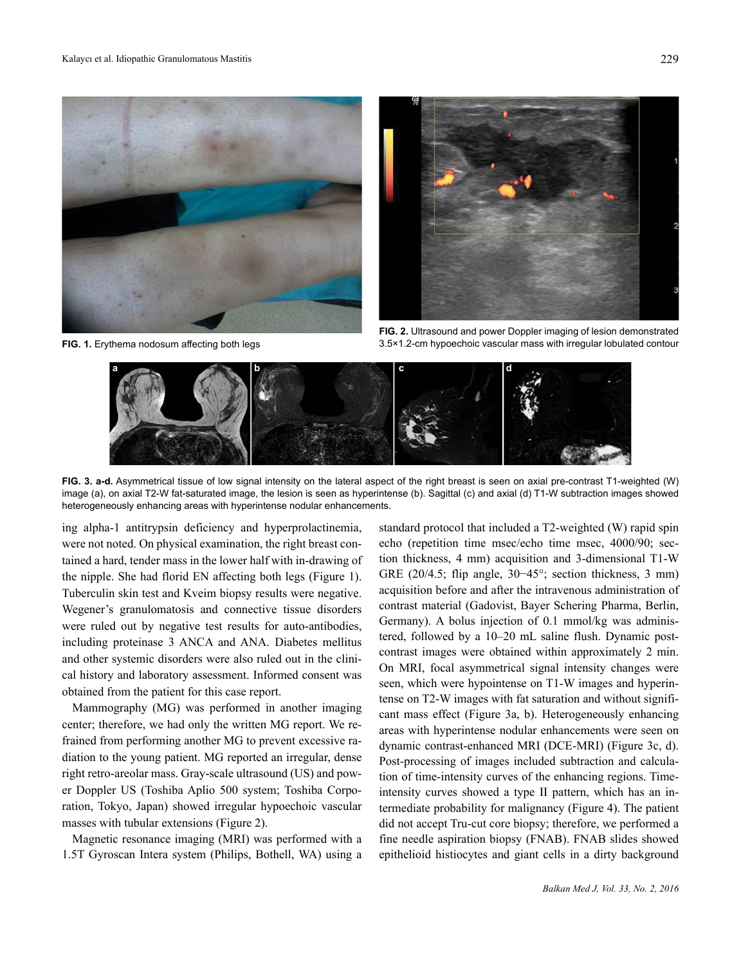



**FIG. 2.** Ultrasound and power Doppler imaging of lesion demonstrated **FIG. 1.** Erythema nodosum affecting both legs 3.5×1.2-cm hypoechoic vascular mass with irregular lobulated contour



**FIG. 3. a-d.** Asymmetrical tissue of low signal intensity on the lateral aspect of the right breast is seen on axial pre-contrast T1-weighted (W) image (a), on axial T2-W fat-saturated image, the lesion is seen as hyperintense (b). Sagittal (c) and axial (d) T1-W subtraction images showed heterogeneously enhancing areas with hyperintense nodular enhancements.

ing alpha-1 antitrypsin deficiency and hyperprolactinemia, were not noted. On physical examination, the right breast contained a hard, tender mass in the lower half with in-drawing of the nipple. She had florid EN affecting both legs (Figure 1). Tuberculin skin test and Kveim biopsy results were negative. Wegener's granulomatosis and connective tissue disorders were ruled out by negative test results for auto-antibodies, including proteinase 3 ANCA and ANA. Diabetes mellitus and other systemic disorders were also ruled out in the clinical history and laboratory assessment. Informed consent was obtained from the patient for this case report.

Mammography (MG) was performed in another imaging center; therefore, we had only the written MG report. We refrained from performing another MG to prevent excessive radiation to the young patient. MG reported an irregular, dense right retro-areolar mass. Gray-scale ultrasound (US) and power Doppler US (Toshiba Aplio 500 system; Toshiba Corporation, Tokyo, Japan) showed irregular hypoechoic vascular masses with tubular extensions (Figure 2).

Magnetic resonance imaging (MRI) was performed with a 1.5T Gyroscan Intera system (Philips, Bothell, WA) using a

standard protocol that included a T2-weighted (W) rapid spin echo (repetition time msec/echo time msec, 4000/90; section thickness, 4 mm) acquisition and 3-dimensional T1-W GRE (20/4.5; flip angle, 30−45°; section thickness, 3 mm) acquisition before and after the intravenous administration of contrast material (Gadovist, Bayer Schering Pharma, Berlin, Germany). A bolus injection of 0.1 mmol/kg was administered, followed by a 10–20 mL saline flush. Dynamic postcontrast images were obtained within approximately 2 min. On MRI, focal asymmetrical signal intensity changes were seen, which were hypointense on T1-W images and hyperintense on T2-W images with fat saturation and without significant mass effect (Figure 3a, b). Heterogeneously enhancing areas with hyperintense nodular enhancements were seen on dynamic contrast-enhanced MRI (DCE-MRI) (Figure 3c, d). Post-processing of images included subtraction and calculation of time-intensity curves of the enhancing regions. Timeintensity curves showed a type II pattern, which has an intermediate probability for malignancy (Figure 4). The patient did not accept Tru-cut core biopsy; therefore, we performed a fine needle aspiration biopsy (FNAB). FNAB slides showed epithelioid histiocytes and giant cells in a dirty background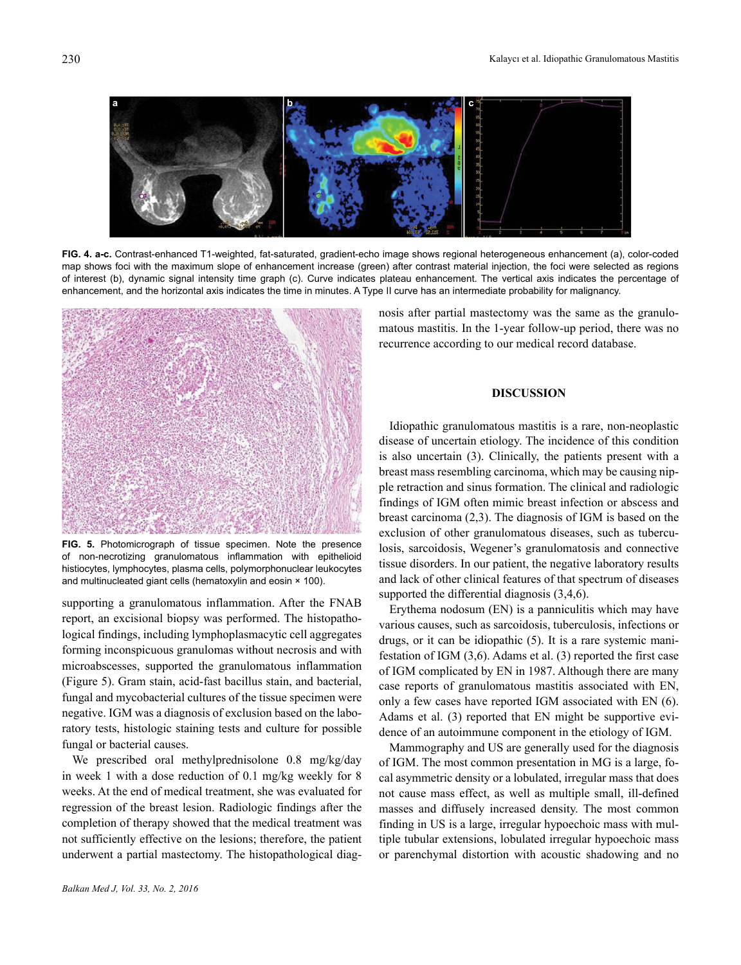

**FIG. 4. a-c.** Contrast-enhanced T1-weighted, fat-saturated, gradient-echo image shows regional heterogeneous enhancement (a), color-coded map shows foci with the maximum slope of enhancement increase (green) after contrast material injection, the foci were selected as regions of interest (b), dynamic signal intensity time graph (c). Curve indicates plateau enhancement. The vertical axis indicates the percentage of enhancement, and the horizontal axis indicates the time in minutes. A Type II curve has an intermediate probability for malignancy.



**FIG. 5.** Photomicrograph of tissue specimen. Note the presence of non-necrotizing granulomatous inflammation with epithelioid histiocytes, lymphocytes, plasma cells, polymorphonuclear leukocytes and multinucleated giant cells (hematoxylin and eosin  $\times$  100).

supporting a granulomatous inflammation. After the FNAB report, an excisional biopsy was performed. The histopathological findings, including lymphoplasmacytic cell aggregates forming inconspicuous granulomas without necrosis and with microabscesses, supported the granulomatous inflammation (Figure 5). Gram stain, acid-fast bacillus stain, and bacterial, fungal and mycobacterial cultures of the tissue specimen were negative. IGM was a diagnosis of exclusion based on the laboratory tests, histologic staining tests and culture for possible fungal or bacterial causes.

We prescribed oral methylprednisolone 0.8 mg/kg/day in week 1 with a dose reduction of 0.1 mg/kg weekly for 8 weeks. At the end of medical treatment, she was evaluated for regression of the breast lesion. Radiologic findings after the completion of therapy showed that the medical treatment was not sufficiently effective on the lesions; therefore, the patient underwent a partial mastectomy. The histopathological diag-

nosis after partial mastectomy was the same as the granulomatous mastitis. In the 1-year follow-up period, there was no recurrence according to our medical record database.

## **DISCUSSION**

Idiopathic granulomatous mastitis is a rare, non-neoplastic disease of uncertain etiology. The incidence of this condition is also uncertain (3). Clinically, the patients present with a breast mass resembling carcinoma, which may be causing nipple retraction and sinus formation. The clinical and radiologic findings of IGM often mimic breast infection or abscess and breast carcinoma (2,3). The diagnosis of IGM is based on the exclusion of other granulomatous diseases, such as tuberculosis, sarcoidosis, Wegener's granulomatosis and connective tissue disorders. In our patient, the negative laboratory results and lack of other clinical features of that spectrum of diseases supported the differential diagnosis (3,4,6).

Erythema nodosum (EN) is a panniculitis which may have various causes, such as sarcoidosis, tuberculosis, infections or drugs, or it can be idiopathic (5). It is a rare systemic manifestation of IGM (3,6). Adams et al. (3) reported the first case of IGM complicated by EN in 1987. Although there are many case reports of granulomatous mastitis associated with EN, only a few cases have reported IGM associated with EN (6). Adams et al. (3) reported that EN might be supportive evidence of an autoimmune component in the etiology of IGM.

Mammography and US are generally used for the diagnosis of IGM. The most common presentation in MG is a large, focal asymmetric density or a lobulated, irregular mass that does not cause mass effect, as well as multiple small, ill-defined masses and diffusely increased density. The most common finding in US is a large, irregular hypoechoic mass with multiple tubular extensions, lobulated irregular hypoechoic mass or parenchymal distortion with acoustic shadowing and no